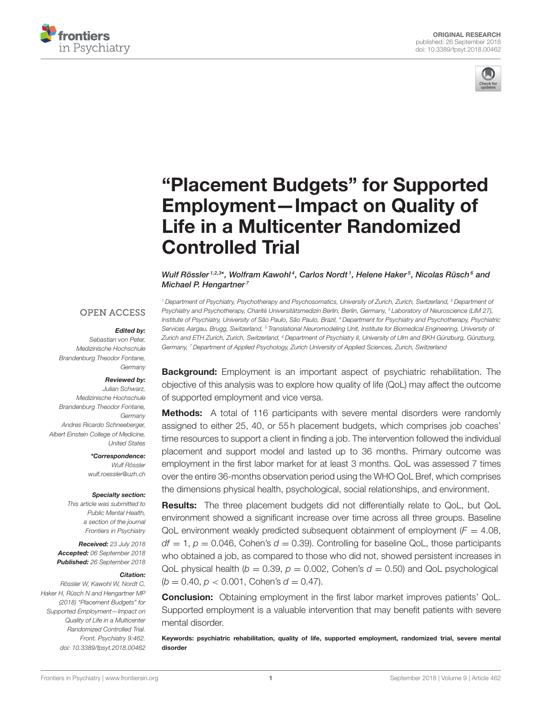



# "Placement Budgets" for Supported [Employment—Impact on Quality of](https://www.frontiersin.org/articles/10.3389/fpsyt.2018.00462/full) Life in a Multicenter Randomized Controlled Trial

#### [Wulf Rössler](http://loop.frontiersin.org/people/102882/overview) $^{1,2,3\star}$ , [Wolfram Kawohl](http://loop.frontiersin.org/people/143523/overview) $^4$ , Carlos Nordt $^1$ , [Helene Haker](http://loop.frontiersin.org/people/143515/overview) $^5$ , Nicolas Rüsch $^6$  and [Michael P. Hengartner](http://loop.frontiersin.org/people/193865/overview)<sup>7</sup>

<sup>1</sup> Department of Psychiatry, Psychotherapy and Psychosomatics, University of Zurich, Zurich, Switzerland, <sup>2</sup> Department of Psychiatry and Psychotherapy, Charité Universitätsmedizin Berlin, Berlin, Germany, <sup>3</sup> Laboratory of Neuroscience (LIM 27), Institute of Psychiatry, University of São Paulo, São Paulo, Brazil, <sup>4</sup> Department for Psychiatry and Psychotherapy, Psychiatric Services Aargau, Brugg, Switzerland, <sup>5</sup> Translational Neuromodeling Unit, Institute for Biomedical Engineering, University of Zurich and ETH Zurich, Zurich, Switzerland, <sup>6</sup> Department of Psychiatry II, University of Ulm and BKH Günzburg, Günzburg,

**OPEN ACCESS** 

#### Edited by:

Sebastian von Peter, Medizinische Hochschule Brandenburg Theodor Fontane, **Germany** 

### Reviewed by:

Julian Schwarz, Medizinische Hochschule Brandenburg Theodor Fontane, **Germany** Andres Ricardo Schneeberger, Albert Einstein College of Medicine, United States

> \*Correspondence: Wulf Rössler [wulf.roessler@uzh.ch](mailto:wulf.roessler@uzh.ch)

#### Specialty section:

This article was submitted to Public Mental Health, a section of the journal Frontiers in Psychiatry

Received: 23 July 2018 Accepted: 06 September 2018 Published: 26 September 2018

#### Citation:

Rössler W, Kawohl W, Nordt C, Haker H, Rüsch N and Hengartner MP (2018) "Placement Budgets" for Supported Employment—Impact on Quality of Life in a Multicenter Randomized Controlled Trial. Front. Psychiatry 9:462. doi: [10.3389/fpsyt.2018.00462](https://doi.org/10.3389/fpsyt.2018.00462)

**Background:** Employment is an important aspect of psychiatric rehabilitation. The objective of this analysis was to explore how quality of life (QoL) may affect the outcome of supported employment and vice versa.

Germany, <sup>7</sup> Department of Applied Psychology, Zurich University of Applied Sciences, Zurich, Switzerland

**Methods:** A total of 116 participants with severe mental disorders were randomly assigned to either 25, 40, or 55 h placement budgets, which comprises job coaches' time resources to support a client in finding a job. The intervention followed the individual placement and support model and lasted up to 36 months. Primary outcome was employment in the first labor market for at least 3 months. QoL was assessed 7 times over the entire 36-months observation period using the WHO QoL Bref, which comprises the dimensions physical health, psychological, social relationships, and environment.

Results: The three placement budgets did not differentially relate to QoL, but QoL environment showed a significant increase over time across all three groups. Baseline QoL environment weakly predicted subsequent obtainment of employment ( $F = 4.08$ ,  $df = 1$ ,  $p = 0.046$ , Cohen's  $d = 0.39$ ). Controlling for baseline QoL, those participants who obtained a job, as compared to those who did not, showed persistent increases in QoL physical health ( $b = 0.39$ ,  $p = 0.002$ , Cohen's  $d = 0.50$ ) and QoL psychological  $(b = 0.40, p < 0.001,$  Cohen's  $d = 0.47$ ).

**Conclusion:** Obtaining employment in the first labor market improves patients' QoL. Supported employment is a valuable intervention that may benefit patients with severe mental disorder.

Keywords: psychiatric rehabilitation, quality of life, supported employment, randomized trial, severe mental disorder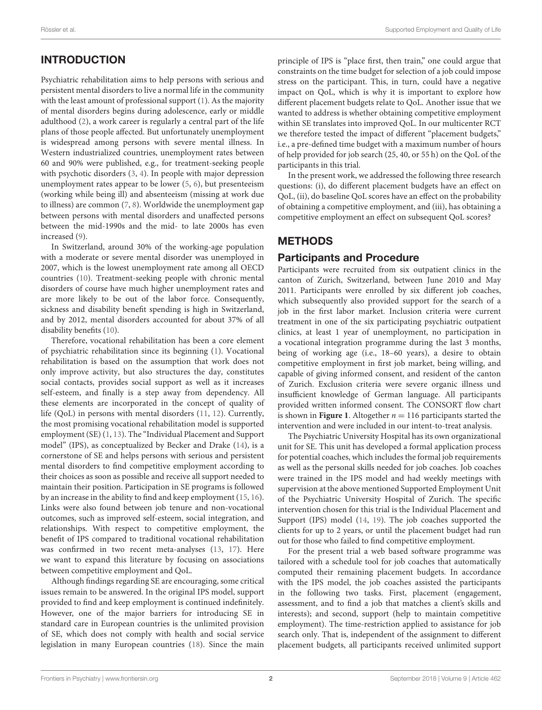# INTRODUCTION

Psychiatric rehabilitation aims to help persons with serious and persistent mental disorders to live a normal life in the community with the least amount of professional support [\(1\)](#page-5-0). As the majority of mental disorders begins during adolescence, early or middle adulthood [\(2\)](#page-5-1), a work career is regularly a central part of the life plans of those people affected. But unfortunately unemployment is widespread among persons with severe mental illness. In Western industrialized countries, unemployment rates between 60 and 90% were published, e.g., for treatment-seeking people with psychotic disorders [\(3,](#page-5-2) [4\)](#page-5-3). In people with major depression unemployment rates appear to be lower [\(5,](#page-5-4) [6\)](#page-5-5), but presenteeism (working while being ill) and absenteeism (missing at work due to illness) are common [\(7,](#page-6-0) [8\)](#page-6-1). Worldwide the unemployment gap between persons with mental disorders and unaffected persons between the mid-1990s and the mid- to late 2000s has even increased [\(9\)](#page-6-2).

In Switzerland, around 30% of the working-age population with a moderate or severe mental disorder was unemployed in 2007, which is the lowest unemployment rate among all OECD countries [\(10\)](#page-6-3). Treatment-seeking people with chronic mental disorders of course have much higher unemployment rates and are more likely to be out of the labor force. Consequently, sickness and disability benefit spending is high in Switzerland, and by 2012, mental disorders accounted for about 37% of all disability benefits [\(10\)](#page-6-3).

Therefore, vocational rehabilitation has been a core element of psychiatric rehabilitation since its beginning [\(1\)](#page-5-0). Vocational rehabilitation is based on the assumption that work does not only improve activity, but also structures the day, constitutes social contacts, provides social support as well as it increases self-esteem, and finally is a step away from dependency. All these elements are incorporated in the concept of quality of life (QoL) in persons with mental disorders [\(11,](#page-6-4) [12\)](#page-6-5). Currently, the most promising vocational rehabilitation model is supported employment (SE) [\(1,](#page-5-0) [13\)](#page-6-6). The "Individual Placement and Support model" (IPS), as conceptualized by Becker and Drake [\(14\)](#page-6-7), is a cornerstone of SE and helps persons with serious and persistent mental disorders to find competitive employment according to their choices as soon as possible and receive all support needed to maintain their position. Participation in SE programs is followed by an increase in the ability to find and keep employment [\(15,](#page-6-8) [16\)](#page-6-9). Links were also found between job tenure and non-vocational outcomes, such as improved self-esteem, social integration, and relationships. With respect to competitive employment, the benefit of IPS compared to traditional vocational rehabilitation was confirmed in two recent meta-analyses [\(13,](#page-6-6) [17\)](#page-6-10). Here we want to expand this literature by focusing on associations between competitive employment and QoL.

Although findings regarding SE are encouraging, some critical issues remain to be answered. In the original IPS model, support provided to find and keep employment is continued indefinitely. However, one of the major barriers for introducing SE in standard care in European countries is the unlimited provision of SE, which does not comply with health and social service legislation in many European countries [\(18\)](#page-6-11). Since the main principle of IPS is "place first, then train," one could argue that constraints on the time budget for selection of a job could impose stress on the participant. This, in turn, could have a negative impact on QoL, which is why it is important to explore how different placement budgets relate to QoL. Another issue that we wanted to address is whether obtaining competitive employment within SE translates into improved QoL. In our multicenter RCT we therefore tested the impact of different "placement budgets," i.e., a pre-defined time budget with a maximum number of hours of help provided for job search (25, 40, or 55 h) on the QoL of the participants in this trial.

In the present work, we addressed the following three research questions: (i), do different placement budgets have an effect on QoL, (ii), do baseline QoL scores have an effect on the probability of obtaining a competitive employment, and (iii), has obtaining a competitive employment an effect on subsequent QoL scores?

### METHODS

### Participants and Procedure

Participants were recruited from six outpatient clinics in the canton of Zurich, Switzerland, between June 2010 and May 2011. Participants were enrolled by six different job coaches, which subsequently also provided support for the search of a job in the first labor market. Inclusion criteria were current treatment in one of the six participating psychiatric outpatient clinics, at least 1 year of unemployment, no participation in a vocational integration programme during the last 3 months, being of working age (i.e., 18–60 years), a desire to obtain competitive employment in first job market, being willing, and capable of giving informed consent, and resident of the canton of Zurich. Exclusion criteria were severe organic illness und insufficient knowledge of German language. All participants provided written informed consent. The CONSORT flow chart is shown in **[Figure 1](#page-2-0)**. Altogether  $n = 116$  participants started the intervention and were included in our intent-to-treat analysis.

The Psychiatric University Hospital has its own organizational unit for SE. This unit has developed a formal application process for potential coaches, which includes the formal job requirements as well as the personal skills needed for job coaches. Job coaches were trained in the IPS model and had weekly meetings with supervision at the above mentioned Supported Employment Unit of the Psychiatric University Hospital of Zurich. The specific intervention chosen for this trial is the Individual Placement and Support (IPS) model [\(14,](#page-6-7) [19\)](#page-6-12). The job coaches supported the clients for up to 2 years, or until the placement budget had run out for those who failed to find competitive employment.

For the present trial a web based software programme was tailored with a schedule tool for job coaches that automatically computed their remaining placement budgets. In accordance with the IPS model, the job coaches assisted the participants in the following two tasks. First, placement (engagement, assessment, and to find a job that matches a client's skills and interests); and second, support (help to maintain competitive employment). The time-restriction applied to assistance for job search only. That is, independent of the assignment to different placement budgets, all participants received unlimited support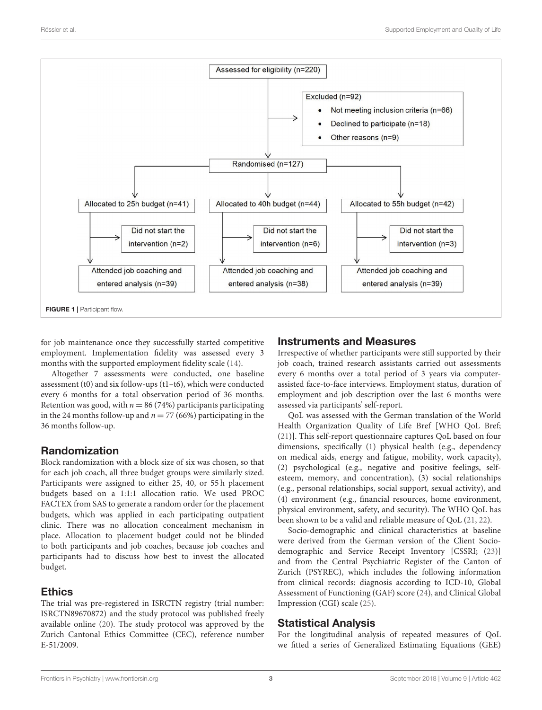

<span id="page-2-0"></span>for job maintenance once they successfully started competitive employment. Implementation fidelity was assessed every 3 months with the supported employment fidelity scale [\(14\)](#page-6-7).

Altogether 7 assessments were conducted, one baseline assessment (t0) and six follow-ups (t1–t6), which were conducted every 6 months for a total observation period of 36 months. Retention was good, with  $n = 86 (74%)$  participants participating in the 24 months follow-up and  $n = 77$  (66%) participating in the 36 months follow-up.

# Randomization

Block randomization with a block size of six was chosen, so that for each job coach, all three budget groups were similarly sized. Participants were assigned to either 25, 40, or 55 h placement budgets based on a 1:1:1 allocation ratio. We used PROC FACTEX from SAS to generate a random order for the placement budgets, which was applied in each participating outpatient clinic. There was no allocation concealment mechanism in place. Allocation to placement budget could not be blinded to both participants and job coaches, because job coaches and participants had to discuss how best to invest the allocated budget.

# **Ethics**

The trial was pre-registered in ISRCTN registry (trial number: ISRCTN89670872) and the study protocol was published freely available online [\(20\)](#page-6-13). The study protocol was approved by the Zurich Cantonal Ethics Committee (CEC), reference number E-51/2009.

### Instruments and Measures

Irrespective of whether participants were still supported by their job coach, trained research assistants carried out assessments every 6 months over a total period of 3 years via computerassisted face-to-face interviews. Employment status, duration of employment and job description over the last 6 months were assessed via participants' self-report.

QoL was assessed with the German translation of the World Health Organization Quality of Life Bref [WHO QoL Bref; [\(21\)](#page-6-14)]. This self-report questionnaire captures QoL based on four dimensions, specifically (1) physical health (e.g., dependency on medical aids, energy and fatigue, mobility, work capacity), (2) psychological (e.g., negative and positive feelings, selfesteem, memory, and concentration), (3) social relationships (e.g., personal relationships, social support, sexual activity), and (4) environment (e.g., financial resources, home environment, physical environment, safety, and security). The WHO QoL has been shown to be a valid and reliable measure of QoL [\(21,](#page-6-14) [22\)](#page-6-15).

Socio-demographic and clinical characteristics at baseline were derived from the German version of the Client Sociodemographic and Service Receipt Inventory [CSSRI; [\(23\)](#page-6-16)] and from the Central Psychiatric Register of the Canton of Zurich (PSYREC), which includes the following information from clinical records: diagnosis according to ICD-10, Global Assessment of Functioning (GAF) score [\(24\)](#page-6-17), and Clinical Global Impression (CGI) scale [\(25\)](#page-6-18).

### Statistical Analysis

For the longitudinal analysis of repeated measures of QoL we fitted a series of Generalized Estimating Equations (GEE)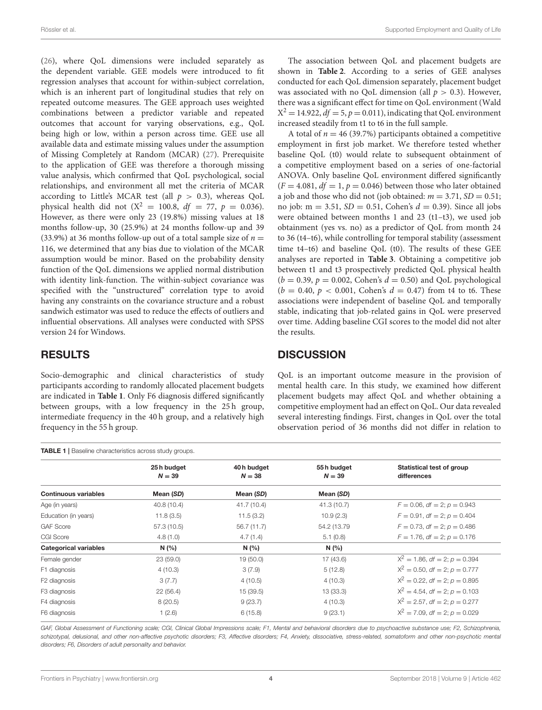Rössler et al. Supported Employment and Quality of Life

[\(26\)](#page-6-19), where QoL dimensions were included separately as the dependent variable. GEE models were introduced to fit regression analyses that account for within-subject correlation, which is an inherent part of longitudinal studies that rely on repeated outcome measures. The GEE approach uses weighted combinations between a predictor variable and repeated outcomes that account for varying observations, e.g., QoL being high or low, within a person across time. GEE use all available data and estimate missing values under the assumption of Missing Completely at Random (MCAR) [\(27\)](#page-6-20). Prerequisite to the application of GEE was therefore a thorough missing value analysis, which confirmed that QoL psychological, social relationships, and environment all met the criteria of MCAR according to Little's MCAR test (all  $p > 0.3$ ), whereas QoL physical health did not ( $X^2 = 100.8$ ,  $df = 77$ ,  $p = 0.036$ ). However, as there were only 23 (19.8%) missing values at 18 months follow-up, 30 (25.9%) at 24 months follow-up and 39 (33.9%) at 36 months follow-up out of a total sample size of  $n =$ 116, we determined that any bias due to violation of the MCAR assumption would be minor. Based on the probability density function of the QoL dimensions we applied normal distribution with identity link-function. The within-subject covariance was specified with the "unstructured" correlation type to avoid having any constraints on the covariance structure and a robust sandwich estimator was used to reduce the effects of outliers and influential observations. All analyses were conducted with SPSS version 24 for Windows.

### RESULTS

Socio-demographic and clinical characteristics of study participants according to randomly allocated placement budgets are indicated in **[Table 1](#page-3-0)**. Only F6 diagnosis differed significantly between groups, with a low frequency in the 25h group, intermediate frequency in the 40 h group, and a relatively high frequency in the 55 h group.

The association between QoL and placement budgets are shown in **[Table 2](#page-4-0)**. According to a series of GEE analyses conducted for each QoL dimension separately, placement budget was associated with no QoL dimension (all  $p > 0.3$ ). However, there was a significant effect for time on QoL environment (Wald  $X^2 = 14.922$ ,  $df = 5$ ,  $p = 0.011$ ), indicating that QoL environment increased steadily from t1 to t6 in the full sample.

A total of  $n = 46$  (39.7%) participants obtained a competitive employment in first job market. We therefore tested whether baseline QoL (t0) would relate to subsequent obtainment of a competitive employment based on a series of one-factorial ANOVA. Only baseline QoL environment differed significantly  $(F = 4.081, df = 1, p = 0.046)$  between those who later obtained a job and those who did not (job obtained:  $m = 3.71$ ,  $SD = 0.51$ ; no job: m = 3.51,  $SD = 0.51$ , Cohen's  $d = 0.39$ ). Since all jobs were obtained between months 1 and 23 (t1–t3), we used job obtainment (yes vs. no) as a predictor of QoL from month 24 to 36 (t4–t6), while controlling for temporal stability (assessment time t4–t6) and baseline QoL (t0). The results of these GEE analyses are reported in **[Table 3](#page-5-6)**. Obtaining a competitive job between t1 and t3 prospectively predicted QoL physical health  $(b = 0.39, p = 0.002, \text{ Cohen's } d = 0.50)$  and QoL psychological  $(b = 0.40, p < 0.001,$  Cohen's  $d = 0.47$  from t4 to t6. These associations were independent of baseline QoL and temporally stable, indicating that job-related gains in QoL were preserved over time. Adding baseline CGI scores to the model did not alter the results.

### **DISCUSSION**

QoL is an important outcome measure in the provision of mental health care. In this study, we examined how different placement budgets may affect QoL and whether obtaining a competitive employment had an effect on QoL. Our data revealed several interesting findings. First, changes in QoL over the total observation period of 36 months did not differ in relation to

<span id="page-3-0"></span>

| <b>TABLE 1</b>   Baseline characteristics across study groups. |                        |                         |                        |                                          |  |  |
|----------------------------------------------------------------|------------------------|-------------------------|------------------------|------------------------------------------|--|--|
|                                                                | 25h budget<br>$N = 39$ | 40 h budget<br>$N = 38$ | 55h budget<br>$N = 39$ | Statistical test of group<br>differences |  |  |
| <b>Continuous variables</b>                                    | Mean (SD)              | Mean (SD)               | Mean (SD)              |                                          |  |  |
| Age (in years)                                                 | 40.8 (10.4)            | 41.7 (10.4)             | 41.3 (10.7)            | $F = 0.06$ , df = 2; p = 0.943           |  |  |
| Education (in years)                                           | 11.8(3.5)              | 11.5(3.2)               | 10.9(2.3)              | $F = 0.91$ , df = 2; p = 0.404           |  |  |
| <b>GAF Score</b>                                               | 57.3 (10.5)            | 56.7 (11.7)             | 54.2 (13.79)           | $F = 0.73$ , df = 2; p = 0.486           |  |  |
| <b>CGI Score</b>                                               | 4.8(1.0)               | 4.7(1.4)                | 5.1(0.8)               | $F = 1.76$ , df = 2; $p = 0.176$         |  |  |
| <b>Categorical variables</b>                                   | N (%)                  | N(%)                    | N(%)                   |                                          |  |  |
| Female gender                                                  | 23 (59.0)              | 19(50.0)                | 17 (43.6)              | $X^2 = 1.86$ , df = 2; p = 0.394         |  |  |
| F1 diagnosis                                                   | 4(10.3)                | 3(7.9)                  | 5(12.8)                | $X^2 = 0.50$ , df = 2; p = 0.777         |  |  |
| F <sub>2</sub> diagnosis                                       | 3(7.7)                 | 4(10.5)                 | 4(10.3)                | $X^2 = 0.22$ , df = 2; p = 0.895         |  |  |
| F <sub>3</sub> diagnosis                                       | 22(56.4)               | 15 (39.5)               | 13 (33.3)              | $X^2 = 4.54$ , df = 2; p = 0.103         |  |  |
| F4 diagnosis                                                   | 8(20.5)                | 9(23.7)                 | 4(10.3)                | $X^2 = 2.57$ , df = 2; p = 0.277         |  |  |
| F6 diagnosis                                                   | 1(2.6)                 | 6(15.8)                 | 9(23.1)                | $X^2 = 7.09$ , df = 2; p = 0.029         |  |  |

GAF, Global Assessment of Functioning scale; CGI, Clinical Global Impressions scale; F1, Mental and behavioral disorders due to psychoactive substance use; F2, Schizophrenia, schizotypal, delusional, and other non-affective psychotic disorders; F3, Affective disorders; F4, Anxiety, dissociative, stress-related, somatoform and other non-psychotic mental disorders; F6, Disorders of adult personality and behavior.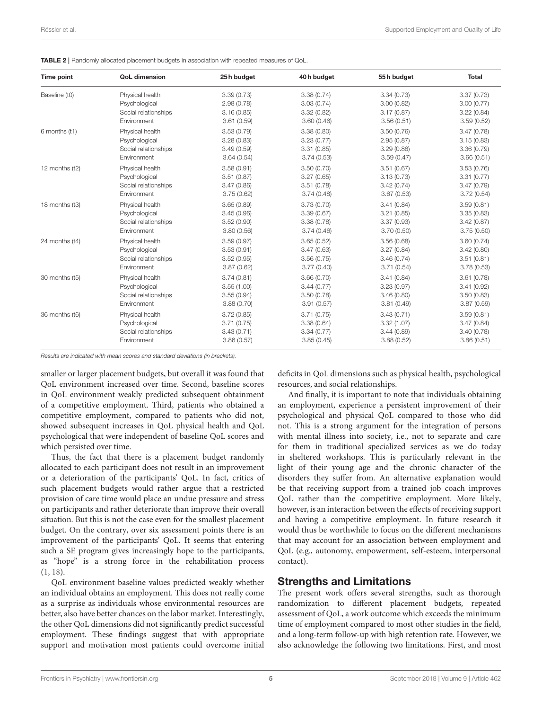| Time point     | <b>QoL</b> dimension | 25h budget | 40h budget | 55h budget | <b>Total</b> |
|----------------|----------------------|------------|------------|------------|--------------|
| Baseline (t0)  | Physical health      | 3.39(0.73) | 3.38(0.74) | 3.34(0.73) | 3.37(0.73)   |
|                | Psychological        | 2.98(0.78) | 3.03(0.74) | 3.00(0.82) | 3.00(0.77)   |
|                | Social relationships | 3.16(0.85) | 3.32(0.82) | 3.17(0.87) | 3.22(0.84)   |
|                | Environment          | 3.61(0.59) | 3.60(0.46) | 3.56(0.51) | 3.59(0.52)   |
| 6 months (t1)  | Physical health      | 3.53(0.79) | 3.38(0.80) | 3.50(0.76) | 3.47(0.78)   |
|                | Psychological        | 3.28(0.83) | 3.23(0.77) | 2.95(0.87) | 3.15(0.83)   |
|                | Social relationships | 3.49(0.59) | 3.31(0.85) | 3.29(0.88) | 3.36(0.79)   |
|                | Environment          | 3.64(0.54) | 3.74(0.53) | 3.59(0.47) | 3.66(0.51)   |
| 12 months (t2) | Physical health      | 3.58(0.91) | 3.50(0.70) | 3.51(0.67) | 3.53(0.76)   |
|                | Psychological        | 3.51(0.87) | 3.27(0.65) | 3.13(0.73) | 3.31(0.77)   |
|                | Social relationships | 3.47(0.86) | 3.51(0.78) | 3.42(0.74) | 3.47(0.79)   |
|                | Environment          | 3.75(0.62) | 3.74(0.48) | 3.67(0.53) | 3.72(0.54)   |
| 18 months (t3) | Physical health      | 3.65(0.89) | 3.73(0.70) | 3.41(0.84) | 3.59(0.81)   |
|                | Psychological        | 3.45(0.96) | 3.39(0.67) | 3.21(0.85) | 3.35(0.83)   |
|                | Social relationships | 3.52(0.90) | 3.38(0.78) | 3.37(0.93) | 3.42(0.87)   |
|                | Environment          | 3.80(0.56) | 3.74(0.46) | 3.70(0.50) | 3.75(0.50)   |
| 24 months (t4) | Physical health      | 3.59(0.97) | 3.65(0.52) | 3.56(0.68) | 3.60(0.74)   |
|                | Psychological        | 3.53(0.91) | 3.47(0.63) | 3.27(0.84) | 3.42(0.80)   |
|                | Social relationships | 3.52(0.95) | 3.56(0.75) | 3.46(0.74) | 3.51(0.81)   |
|                | Environment          | 3.87(0.62) | 3.77(0.40) | 3.71(0.54) | 3.78(0.53)   |
| 30 months (t5) | Physical health      | 3.74(0.81) | 3.66(0.70) | 3.41(0.84) | 3.61(0.78)   |
|                | Psychological        | 3.55(1.00) | 3.44(0.77) | 3.23(0.97) | 3.41(0.92)   |
|                | Social relationships | 3.55(0.94) | 3.50(0.78) | 3.46(0.80) | 3.50(0.83)   |
|                | Environment          | 3.88(0.70) | 3.91(0.57) | 3.81(0.49) | 3.87(0.59)   |
| 36 months (t6) | Physical health      | 3.72(0.85) | 3.71(0.75) | 3.43(0.71) | 3.59(0.81)   |
|                | Psychological        | 3.71(0.75) | 3.38(0.64) | 3.32(1.07) | 3.47(0.84)   |
|                | Social relationships | 3.43(0.71) | 3.34(0.77) | 3.44(0.89) | 3.40(0.78)   |
|                | Environment          | 3.86(0.57) | 3.85(0.45) | 3.88(0.52) | 3.86(0.51)   |

<span id="page-4-0"></span>TABLE 2 | Randomly allocated placement budgets in association with repeated measures of QoL.

Results are indicated with mean scores and standard deviations (in brackets).

smaller or larger placement budgets, but overall it was found that QoL environment increased over time. Second, baseline scores in QoL environment weakly predicted subsequent obtainment of a competitive employment. Third, patients who obtained a competitive employment, compared to patients who did not, showed subsequent increases in QoL physical health and QoL psychological that were independent of baseline QoL scores and which persisted over time.

Thus, the fact that there is a placement budget randomly allocated to each participant does not result in an improvement or a deterioration of the participants' QoL. In fact, critics of such placement budgets would rather argue that a restricted provision of care time would place an undue pressure and stress on participants and rather deteriorate than improve their overall situation. But this is not the case even for the smallest placement budget. On the contrary, over six assessment points there is an improvement of the participants' QoL. It seems that entering such a SE program gives increasingly hope to the participants, as "hope" is a strong force in the rehabilitation process [\(1,](#page-5-0) [18\)](#page-6-11).

QoL environment baseline values predicted weakly whether an individual obtains an employment. This does not really come as a surprise as individuals whose environmental resources are better, also have better chances on the labor market. Interestingly, the other QoL dimensions did not significantly predict successful employment. These findings suggest that with appropriate support and motivation most patients could overcome initial

deficits in QoL dimensions such as physical health, psychological resources, and social relationships.

And finally, it is important to note that individuals obtaining an employment, experience a persistent improvement of their psychological and physical QoL compared to those who did not. This is a strong argument for the integration of persons with mental illness into society, i.e., not to separate and care for them in traditional specialized services as we do today in sheltered workshops. This is particularly relevant in the light of their young age and the chronic character of the disorders they suffer from. An alternative explanation would be that receiving support from a trained job coach improves QoL rather than the competitive employment. More likely, however, is an interaction between the effects of receiving support and having a competitive employment. In future research it would thus be worthwhile to focus on the different mechanisms that may account for an association between employment and QoL (e.g., autonomy, empowerment, self-esteem, interpersonal contact).

### Strengths and Limitations

The present work offers several strengths, such as thorough randomization to different placement budgets, repeated assessment of QoL, a work outcome which exceeds the minimum time of employment compared to most other studies in the field, and a long-term follow-up with high retention rate. However, we also acknowledge the following two limitations. First, and most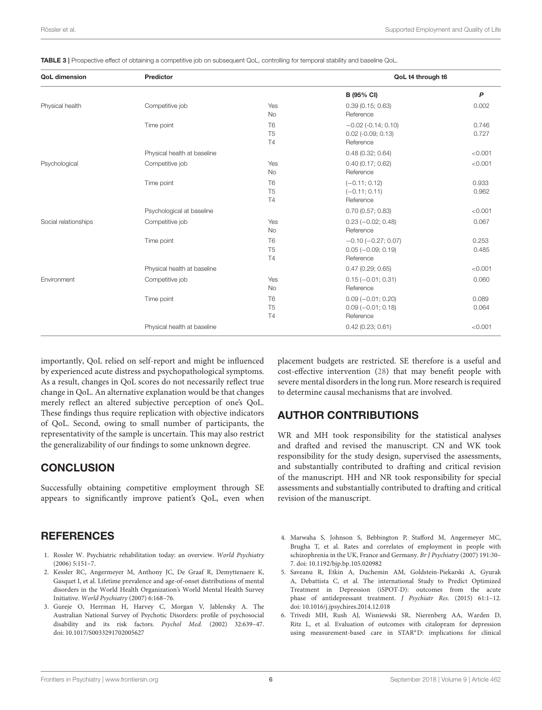<span id="page-5-6"></span>TABLE 3 | Prospective effect of obtaining a competitive job on subsequent QoL, controlling for temporal stability and baseline QoL.

| <b>QoL</b> dimension | Predictor                   |                                                    | QoL t4 through t6                                              |                |  |
|----------------------|-----------------------------|----------------------------------------------------|----------------------------------------------------------------|----------------|--|
|                      |                             |                                                    | B (95% CI)                                                     | P              |  |
| Physical health      | Competitive job             | Yes<br>No                                          | 0.39(0.15; 0.63)<br>Reference                                  | 0.002          |  |
|                      | Time point                  | T <sub>6</sub><br>T <sub>5</sub><br>T <sub>4</sub> | $-0.02$ ( $-0.14$ ; 0.10)<br>$0.02$ (-0.09; 0.13)<br>Reference | 0.746<br>0.727 |  |
|                      | Physical health at baseline |                                                    | 0.48(0.32; 0.64)                                               | < 0.001        |  |
| Psychological        | Competitive job             | Yes<br>No                                          | 0.40(0.17; 0.62)<br>Reference                                  | < 0.001        |  |
|                      | Time point                  | T <sub>6</sub><br>T <sub>5</sub><br><b>T4</b>      | $(-0.11; 0.12)$<br>$(-0.11; 0.11)$<br>Reference                | 0.933<br>0.962 |  |
|                      | Psychological at baseline   |                                                    | 0.70(0.57; 0.83)                                               | < 0.001        |  |
| Social relationships | Competitive job             | Yes<br><b>No</b>                                   | $0.23 (-0.02; 0.48)$<br>Reference                              | 0.067          |  |
|                      | Time point                  | T <sub>6</sub><br>T <sub>5</sub><br><b>T4</b>      | $-0.10$ ( $-0.27$ ; 0.07)<br>$0.05 (-0.09; 0.19)$<br>Reference | 0.253<br>0.485 |  |
|                      | Physical health at baseline |                                                    | 0.47(0.29; 0.65)                                               | < 0.001        |  |
| Environment          | Competitive job             | Yes<br>No                                          | $0.15 (-0.01; 0.31)$<br>Reference                              | 0.060          |  |
|                      | Time point                  | T <sub>6</sub><br>T <sub>5</sub><br>T <sub>4</sub> | $0.09 (-0.01; 0.20)$<br>$0.09 (-0.01; 0.18)$<br>Reference      | 0.089<br>0.064 |  |
|                      | Physical health at baseline |                                                    | 0.42(0.23; 0.61)                                               | < 0.001        |  |

importantly, QoL relied on self-report and might be influenced by experienced acute distress and psychopathological symptoms. As a result, changes in QoL scores do not necessarily reflect true change in QoL. An alternative explanation would be that changes merely reflect an altered subjective perception of one's QoL. These findings thus require replication with objective indicators of QoL. Second, owing to small number of participants, the representativity of the sample is uncertain. This may also restrict the generalizability of our findings to some unknown degree.

### **CONCLUSION**

Successfully obtaining competitive employment through SE appears to significantly improve patient's QoL, even when

### **REFERENCES**

- <span id="page-5-0"></span>1. Rossler W. Psychiatric rehabilitation today: an overview. World Psychiatry (2006) 5:151–7.
- <span id="page-5-1"></span>2. Kessler RC, Angermeyer M, Anthony JC, De Graaf R, Demyttenaere K, Gasquet I, et al. Lifetime prevalence and age-of-onset distributions of mental disorders in the World Health Organization's World Mental Health Survey Initiative. World Psychiatry (2007) 6:168–76.
- <span id="page-5-2"></span>3. Gureje O, Herrman H, Harvey C, Morgan V, Jablensky A. The Australian National Survey of Psychotic Disorders: profile of psychosocial disability and its risk factors. Psychol Med. (2002) 32:639–47. doi: [10.1017/S0033291702005627](https://doi.org/10.1017/S0033291702005627)

placement budgets are restricted. SE therefore is a useful and cost-effective intervention [\(28\)](#page-6-21) that may benefit people with severe mental disorders in the long run. More research is required to determine causal mechanisms that are involved.

### AUTHOR CONTRIBUTIONS

WR and MH took responsibility for the statistical analyses and drafted and revised the manuscript. CN and WK took responsibility for the study design, supervised the assessments, and substantially contributed to drafting and critical revision of the manuscript. HH and NR took responsibility for special assessments and substantially contributed to drafting and critical revision of the manuscript.

- <span id="page-5-3"></span>4. Marwaha S, Johnson S, Bebbington P, Stafford M, Angermeyer MC, Brugha T, et al. Rates and correlates of employment in people with schizophrenia in the UK, France and Germany. Br J Psychiatry (2007) 191:30-7. doi: [10.1192/bjp.bp.105.020982](https://doi.org/10.1192/bjp.bp.105.020982)
- <span id="page-5-4"></span>5. Saveanu R, Etkin A, Duchemin AM, Goldstein-Piekarski A, Gyurak A, Debattista C, et al. The international Study to Predict Optimized Treatment in Depression (iSPOT-D): outcomes from the acute phase of antidepressant treatment. J Psychiatr Res. (2015) 61:1–12. doi: [10.1016/j.jpsychires.2014.12.018](https://doi.org/10.1016/j.jpsychires.2014.12.018)
- <span id="page-5-5"></span>6. Trivedi MH, Rush AJ, Wisniewski SR, Nierenberg AA, Warden D, Ritz L, et al. Evaluation of outcomes with citalopram for depression using measurement-based care in STAR∗D: implications for clinical